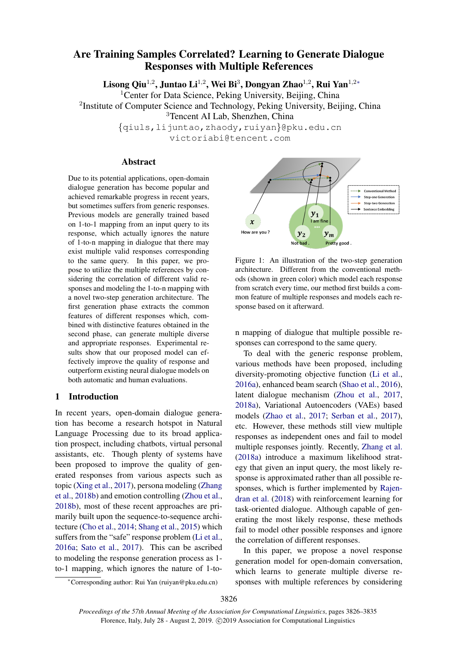# Are Training Samples Correlated? Learning to Generate Dialogue Responses with Multiple References

Lisong Qiu<sup>1,2</sup>, Juntao Li<sup>1,2</sup>, Wei Bi<sup>3</sup>, Dongyan Zhao<sup>1,2</sup>, Rui Yan<sup>1,2</sup>\*

<sup>1</sup> Center for Data Science, Peking University, Beijing, China

<sup>2</sup>Institute of Computer Science and Technology, Peking University, Beijing, China

<sup>3</sup>Tencent AI Lab, Shenzhen, China

{qiuls,lijuntao,zhaody,ruiyan}@pku.edu.cn victoriabi@tencent.com

#### Abstract

Due to its potential applications, open-domain dialogue generation has become popular and achieved remarkable progress in recent years, but sometimes suffers from generic responses. Previous models are generally trained based on 1-to-1 mapping from an input query to its response, which actually ignores the nature of 1-to-n mapping in dialogue that there may exist multiple valid responses corresponding to the same query. In this paper, we propose to utilize the multiple references by considering the correlation of different valid responses and modeling the 1-to-n mapping with a novel two-step generation architecture. The first generation phase extracts the common features of different responses which, combined with distinctive features obtained in the second phase, can generate multiple diverse and appropriate responses. Experimental results show that our proposed model can effectively improve the quality of response and outperform existing neural dialogue models on both automatic and human evaluations.

#### 1 Introduction

In recent years, open-domain dialogue generation has become a research hotspot in Natural Language Processing due to its broad application prospect, including chatbots, virtual personal assistants, etc. Though plenty of systems have been proposed to improve the quality of generated responses from various aspects such as topic [\(Xing et al.,](#page-9-0) [2017\)](#page-9-0), persona modeling [\(Zhang](#page-9-1) [et al.,](#page-9-1) [2018b\)](#page-9-1) and emotion controlling [\(Zhou et al.,](#page-9-2) [2018b\)](#page-9-2), most of these recent approaches are primarily built upon the sequence-to-sequence architecture [\(Cho et al.,](#page-8-0) [2014;](#page-8-0) [Shang et al.,](#page-9-3) [2015\)](#page-9-3) which suffers from the "safe" response problem [\(Li et al.,](#page-8-1) [2016a;](#page-8-1) [Sato et al.,](#page-9-4) [2017\)](#page-9-4). This can be ascribed to modeling the response generation process as 1 to-1 mapping, which ignores the nature of 1-to-

<span id="page-0-0"></span>

Figure 1: An illustration of the two-step generation architecture. Different from the conventional methods (shown in green color) which model each response from scratch every time, our method first builds a common feature of multiple responses and models each response based on it afterward.

n mapping of dialogue that multiple possible responses can correspond to the same query.

To deal with the generic response problem, various methods have been proposed, including diversity-promoting objective function [\(Li et al.,](#page-8-1) [2016a\)](#page-8-1), enhanced beam search [\(Shao et al.,](#page-9-5) [2016\)](#page-9-5), latent dialogue mechanism [\(Zhou et al.,](#page-9-6) [2017,](#page-9-6) [2018a\)](#page-9-7), Variational Autoencoders (VAEs) based models [\(Zhao et al.,](#page-9-8) [2017;](#page-9-8) [Serban et al.,](#page-9-9) [2017\)](#page-9-9), etc. However, these methods still view multiple responses as independent ones and fail to model multiple responses jointly. Recently, [Zhang et al.](#page-9-10) [\(2018a\)](#page-9-10) introduce a maximum likelihood strategy that given an input query, the most likely response is approximated rather than all possible responses, which is further implemented by [Rajen](#page-9-11)[dran et al.](#page-9-11) [\(2018\)](#page-9-11) with reinforcement learning for task-oriented dialogue. Although capable of generating the most likely response, these methods fail to model other possible responses and ignore the correlation of different responses.

In this paper, we propose a novel response generation model for open-domain conversation, which learns to generate multiple diverse responses with multiple references by considering

<sup>∗</sup>Corresponding author: Rui Yan (ruiyan@pku.edu.cn)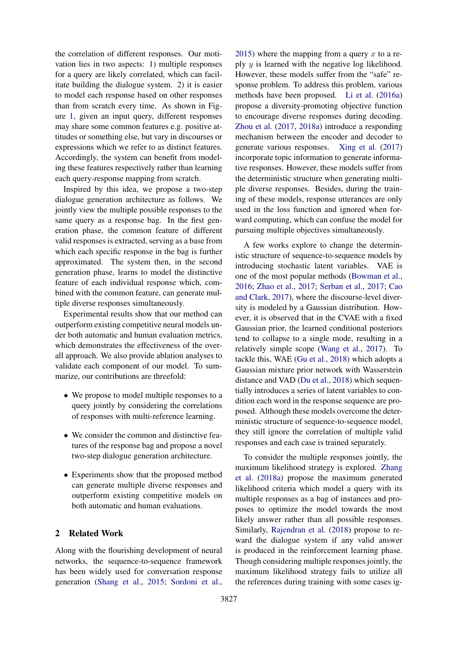the correlation of different responses. Our motivation lies in two aspects: 1) multiple responses for a query are likely correlated, which can facilitate building the dialogue system. 2) it is easier to model each response based on other responses than from scratch every time. As shown in Figure [1,](#page-0-0) given an input query, different responses may share some common features e.g. positive attitudes or something else, but vary in discourses or expressions which we refer to as distinct features. Accordingly, the system can benefit from modeling these features respectively rather than learning each query-response mapping from scratch.

Inspired by this idea, we propose a two-step dialogue generation architecture as follows. We jointly view the multiple possible responses to the same query as a response bag. In the first generation phase, the common feature of different valid responses is extracted, serving as a base from which each specific response in the bag is further approximated. The system then, in the second generation phase, learns to model the distinctive feature of each individual response which, combined with the common feature, can generate multiple diverse responses simultaneously.

Experimental results show that our method can outperform existing competitive neural models under both automatic and human evaluation metrics, which demonstrates the effectiveness of the overall approach. We also provide ablation analyses to validate each component of our model. To summarize, our contributions are threefold:

- We propose to model multiple responses to a query jointly by considering the correlations of responses with multi-reference learning.
- We consider the common and distinctive features of the response bag and propose a novel two-step dialogue generation architecture.
- Experiments show that the proposed method can generate multiple diverse responses and outperform existing competitive models on both automatic and human evaluations.

### 2 Related Work

Along with the flourishing development of neural networks, the sequence-to-sequence framework has been widely used for conversation response generation [\(Shang et al.,](#page-9-3) [2015;](#page-9-3) [Sordoni et al.,](#page-9-12)

[2015\)](#page-9-12) where the mapping from a query  $x$  to a reply  $y$  is learned with the negative log likelihood. However, these models suffer from the "safe" response problem. To address this problem, various methods have been proposed. [Li et al.](#page-8-1) [\(2016a\)](#page-8-1) propose a diversity-promoting objective function to encourage diverse responses during decoding. [Zhou et al.](#page-9-6) [\(2017,](#page-9-6) [2018a\)](#page-9-7) introduce a responding mechanism between the encoder and decoder to generate various responses. [Xing et al.](#page-9-0) [\(2017\)](#page-9-0) incorporate topic information to generate informative responses. However, these models suffer from the deterministic structure when generating multiple diverse responses. Besides, during the training of these models, response utterances are only used in the loss function and ignored when forward computing, which can confuse the model for pursuing multiple objectives simultaneously.

A few works explore to change the deterministic structure of sequence-to-sequence models by introducing stochastic latent variables. VAE is one of the most popular methods [\(Bowman et al.,](#page-8-2) [2016;](#page-8-2) [Zhao et al.,](#page-9-8) [2017;](#page-9-8) [Serban et al.,](#page-9-9) [2017;](#page-9-9) [Cao](#page-8-3) [and Clark,](#page-8-3) [2017\)](#page-8-3), where the discourse-level diversity is modeled by a Gaussian distribution. However, it is observed that in the CVAE with a fixed Gaussian prior, the learned conditional posteriors tend to collapse to a single mode, resulting in a relatively simple scope [\(Wang et al.,](#page-9-13) [2017\)](#page-9-13). To tackle this, WAE [\(Gu et al.,](#page-8-4) [2018\)](#page-8-4) which adopts a Gaussian mixture prior network with Wasserstein distance and VAD [\(Du et al.,](#page-8-5) [2018\)](#page-8-5) which sequentially introduces a series of latent variables to condition each word in the response sequence are proposed. Although these models overcome the deterministic structure of sequence-to-sequence model, they still ignore the correlation of multiple valid responses and each case is trained separately.

To consider the multiple responses jointly, the maximum likelihood strategy is explored. [Zhang](#page-9-10) [et al.](#page-9-10) [\(2018a\)](#page-9-10) propose the maximum generated likelihood criteria which model a query with its multiple responses as a bag of instances and proposes to optimize the model towards the most likely answer rather than all possible responses. Similarly, [Rajendran et al.](#page-9-11) [\(2018\)](#page-9-11) propose to reward the dialogue system if any valid answer is produced in the reinforcement learning phase. Though considering multiple responses jointly, the maximum likelihood strategy fails to utilize all the references during training with some cases ig-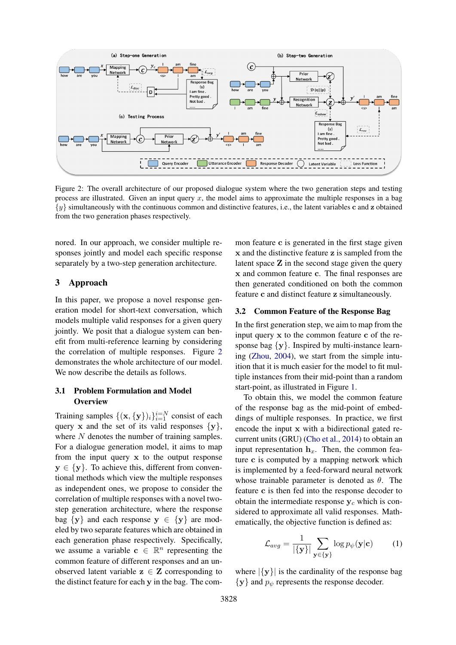<span id="page-2-0"></span>

Figure 2: The overall architecture of our proposed dialogue system where the two generation steps and testing process are illustrated. Given an input query x, the model aims to approximate the multiple responses in a bag {y} simultaneously with the continuous common and distinctive features, i.e., the latent variables c and z obtained from the two generation phases respectively.

nored. In our approach, we consider multiple responses jointly and model each specific response separately by a two-step generation architecture.

### 3 Approach

In this paper, we propose a novel response generation model for short-text conversation, which models multiple valid responses for a given query jointly. We posit that a dialogue system can benefit from multi-reference learning by considering the correlation of multiple responses. Figure [2](#page-2-0) demonstrates the whole architecture of our model. We now describe the details as follows.

### 3.1 Problem Formulation and Model **Overview**

Training samples  $\{(\mathbf{x}, {\{\mathbf{y}\}})_i\}_{i=1}^{i=N}$  consist of each query x and the set of its valid responses  $\{y\}$ , where  $N$  denotes the number of training samples. For a dialogue generation model, it aims to map from the input query  $x$  to the output response  $y \in \{y\}$ . To achieve this, different from conventional methods which view the multiple responses as independent ones, we propose to consider the correlation of multiple responses with a novel twostep generation architecture, where the response bag  $\{y\}$  and each response  $y \in \{y\}$  are modeled by two separate features which are obtained in each generation phase respectively. Specifically, we assume a variable  $\mathbf{c} \in \mathbb{R}^n$  representing the common feature of different responses and an unobserved latent variable  $z \in Z$  corresponding to the distinct feature for each y in the bag. The com-

mon feature c is generated in the first stage given x and the distinctive feature z is sampled from the latent space  $Z$  in the second stage given the query x and common feature c. The final responses are then generated conditioned on both the common feature c and distinct feature z simultaneously.

#### 3.2 Common Feature of the Response Bag

In the first generation step, we aim to map from the input query x to the common feature c of the response bag  $\{y\}$ . Inspired by multi-instance learning [\(Zhou,](#page-9-14) [2004\)](#page-9-14), we start from the simple intuition that it is much easier for the model to fit multiple instances from their mid-point than a random start-point, as illustrated in Figure [1.](#page-0-0)

To obtain this, we model the common feature of the response bag as the mid-point of embeddings of multiple responses. In practice, we first encode the input x with a bidirectional gated recurrent units (GRU) [\(Cho et al.,](#page-8-0) [2014\)](#page-8-0) to obtain an input representation  $h_x$ . Then, the common feature c is computed by a mapping network which is implemented by a feed-forward neural network whose trainable parameter is denoted as  $\theta$ . The feature c is then fed into the response decoder to obtain the intermediate response  $y_c$  which is considered to approximate all valid responses. Mathematically, the objective function is defined as:

$$
\mathcal{L}_{avg} = \frac{1}{|\{\mathbf{y}\}|} \sum_{\mathbf{y} \in \{\mathbf{y}\}} \log p_{\psi}(\mathbf{y}|\mathbf{c}) \tag{1}
$$

where  $|\{y\}|$  is the cardinality of the response bag  ${y}$  and  $p_{\psi}$  represents the response decoder.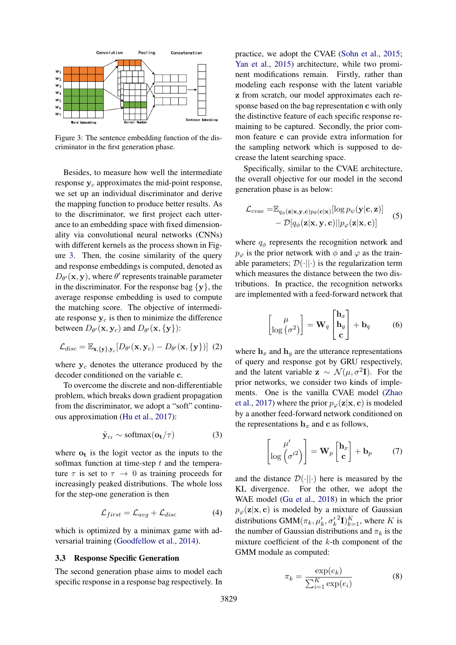<span id="page-3-0"></span>

Figure 3: The sentence embedding function of the discriminator in the first generation phase.

Besides, to measure how well the intermediate response  $y_c$  approximates the mid-point response, we set up an individual discriminator and derive the mapping function to produce better results. As to the discriminator, we first project each utterance to an embedding space with fixed dimensionality via convolutional neural networks (CNNs) with different kernels as the process shown in Figure [3.](#page-3-0) Then, the cosine similarity of the query and response embeddings is computed, denoted as  $D_{\theta}(\mathbf{x}, \mathbf{y})$ , where  $\theta'$  represents trainable parameter in the discriminator. For the response bag  $\{y\}$ , the average response embedding is used to compute the matching score. The objective of intermediate response  $y_c$  is then to minimize the difference between  $D_{\theta}(\mathbf{x}, \mathbf{y}_c)$  and  $D_{\theta}(\mathbf{x}, {\{\mathbf{y}\}})$ :

$$
\mathcal{L}_{disc} = \mathbb{E}_{\mathbf{x}, \{\mathbf{y}\}, \mathbf{y}_c} [D_{\theta'}(\mathbf{x}, \mathbf{y}_c) - D_{\theta'}(\mathbf{x}, \{\mathbf{y}\})]
$$
(2)

where  $y_c$  denotes the utterance produced by the decoder conditioned on the variable c.

To overcome the discrete and non-differentiable problem, which breaks down gradient propagation from the discriminator, we adopt a "soft" continuous approximation [\(Hu et al.,](#page-8-6) [2017\)](#page-8-6):

$$
\hat{\mathbf{y}}_{c_t} \sim \text{softmax}(\mathbf{o_t}/\tau) \tag{3}
$$

where  $o_t$  is the logit vector as the inputs to the softmax function at time-step  $t$  and the temperature  $\tau$  is set to  $\tau \to 0$  as training proceeds for increasingly peaked distributions. The whole loss for the step-one generation is then

$$
\mathcal{L}_{first} = \mathcal{L}_{avg} + \mathcal{L}_{disc} \tag{4}
$$

which is optimized by a minimax game with adversarial training [\(Goodfellow et al.,](#page-8-7) [2014\)](#page-8-7).

#### 3.3 Response Specific Generation

The second generation phase aims to model each specific response in a response bag respectively. In practice, we adopt the CVAE [\(Sohn et al.,](#page-9-15) [2015;](#page-9-15) [Yan et al.,](#page-9-16) [2015\)](#page-9-16) architecture, while two prominent modifications remain. Firstly, rather than modeling each response with the latent variable z from scratch, our model approximates each response based on the bag representation c with only the distinctive feature of each specific response remaining to be captured. Secondly, the prior common feature c can provide extra information for the sampling network which is supposed to decrease the latent searching space.

Specifically, similar to the CVAE architecture, the overall objective for our model in the second generation phase is as below:

$$
\mathcal{L}_{cvae} = \mathbb{E}_{q_{\phi}(\mathbf{z}|\mathbf{x}, \mathbf{y}, \mathbf{c})p_{\theta}(\mathbf{c}|\mathbf{x})}[\log p_{\psi}(\mathbf{y}|\mathbf{c}, \mathbf{z})] - \mathcal{D}[q_{\phi}(\mathbf{z}|\mathbf{x}, \mathbf{y}, \mathbf{c})||p_{\varphi}(\mathbf{z}|\mathbf{x}, \mathbf{c})]
$$
(5)

where  $q_{\phi}$  represents the recognition network and  $p_{\varphi}$  is the prior network with  $\phi$  and  $\varphi$  as the trainable parameters;  $\mathcal{D}(\cdot||\cdot)$  is the regularization term which measures the distance between the two distributions. In practice, the recognition networks are implemented with a feed-forward network that

$$
\begin{bmatrix} \mu \\ \log(\sigma^2) \end{bmatrix} = \mathbf{W}_q \begin{bmatrix} \mathbf{h}_x \\ \mathbf{h}_y \\ \mathbf{c} \end{bmatrix} + \mathbf{b}_q \quad (6)
$$

where  $h_x$  and  $h_y$  are the utterance representations of query and response got by GRU respectively, and the latent variable  $\mathbf{z} \sim \mathcal{N}(\mu, \sigma^2 \mathbf{I})$ . For the prior networks, we consider two kinds of implements. One is the vanilla CVAE model [\(Zhao](#page-9-8) [et al.,](#page-9-8) [2017\)](#page-9-8) where the prior  $p_{\varphi}(\mathbf{z}|\mathbf{x}, \mathbf{c})$  is modeled by a another feed-forward network conditioned on the representations  $h_x$  and c as follows,

$$
\begin{bmatrix} \mu' \\ \log(\sigma'^2) \end{bmatrix} = \mathbf{W}_p \begin{bmatrix} \mathbf{h}_x \\ \mathbf{c} \end{bmatrix} + \mathbf{b}_p \qquad (7)
$$

and the distance  $\mathcal{D}(\cdot||\cdot)$  here is measured by the KL divergence. For the other, we adopt the WAE model [\(Gu et al.,](#page-8-4) [2018\)](#page-8-4) in which the prior  $p_{\varphi}(\mathbf{z}|\mathbf{x}, \mathbf{c})$  is modeled by a mixture of Gaussian distributions  $\text{GMM}(\pi_k, \mu'_k, \sigma'_k)$  $^{2}I)_{k=1}^{K}$ , where K is the number of Gaussian distributions and  $\pi_k$  is the mixture coefficient of the  $k$ -th component of the GMM module as computed:

$$
\pi_k = \frac{\exp(e_k)}{\sum_{i=1}^K \exp(e_i)}\tag{8}
$$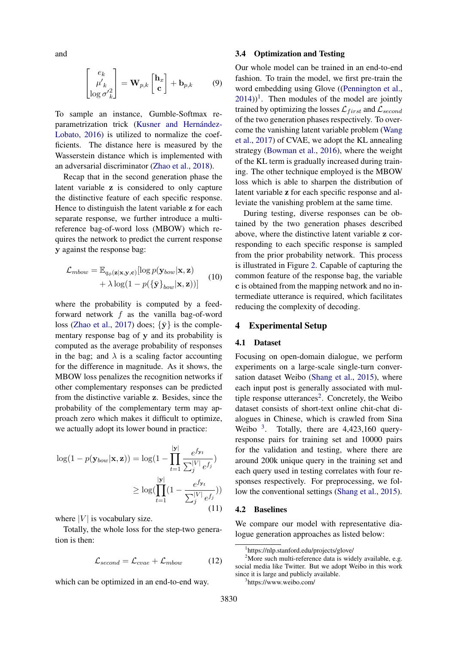and

$$
\begin{bmatrix} e_k \\ \mu'_{k} \\ \log \sigma'_{k} \end{bmatrix} = \mathbf{W}_{p,k} \begin{bmatrix} \mathbf{h}_x \\ \mathbf{c} \end{bmatrix} + \mathbf{b}_{p,k} \qquad (9)
$$

To sample an instance, Gumble-Softmax reparametrization trick (Kusner and Hernández-[Lobato,](#page-8-8) [2016\)](#page-8-8) is utilized to normalize the coefficients. The distance here is measured by the Wasserstein distance which is implemented with an adversarial discriminator [\(Zhao et al.,](#page-9-17) [2018\)](#page-9-17).

Recap that in the second generation phase the latent variable z is considered to only capture the distinctive feature of each specific response. Hence to distinguish the latent variable z for each separate response, we further introduce a multireference bag-of-word loss (MBOW) which requires the network to predict the current response y against the response bag:

$$
\mathcal{L}_{mbow} = \mathbb{E}_{q_{\phi}(\mathbf{z}|\mathbf{x}, \mathbf{y}, \mathbf{c})}[\log p(\mathbf{y}_{bow}|\mathbf{x}, \mathbf{z}) + \lambda \log(1 - p(\{\bar{\mathbf{y}}\}_{bow}|\mathbf{x}, \mathbf{z}))]
$$
(10)

where the probability is computed by a feedforward network f as the vanilla bag-of-word loss [\(Zhao et al.,](#page-9-8) [2017\)](#page-9-8) does;  $\{\bar{y}\}\$ is the complementary response bag of y and its probability is computed as the average probability of responses in the bag; and  $\lambda$  is a scaling factor accounting for the difference in magnitude. As it shows, the MBOW loss penalizes the recognition networks if other complementary responses can be predicted from the distinctive variable z. Besides, since the probability of the complementary term may approach zero which makes it difficult to optimize, we actually adopt its lower bound in practice:

$$
\log(1 - p(\mathbf{y}_{bow}|\mathbf{x}, \mathbf{z})) = \log(1 - \prod_{t=1}^{|\mathbf{y}|} \frac{e^{f_{\mathbf{y}_t}}}{\sum_{j}^{|\mathbf{y}|} e^{f_j}})
$$

$$
\geq \log(\prod_{t=1}^{|\mathbf{y}|} (1 - \frac{e^{f_{\mathbf{y}_t}}}{\sum_{j}^{|\mathbf{y}|} e^{f_j}}))
$$
(11)

where  $|V|$  is vocabulary size.

Totally, the whole loss for the step-two generation is then:

$$
\mathcal{L}_{second} = \mathcal{L}_{cvae} + \mathcal{L}_{mbow} \tag{12}
$$

which can be optimized in an end-to-end way.

#### 3.4 Optimization and Testing

Our whole model can be trained in an end-to-end fashion. To train the model, we first pre-train the word embedding using Glove ([\(Pennington et al.,](#page-9-18)  $(2014)$  $(2014)$ <sup>[1](#page-4-0)</sup>. Then modules of the model are jointly trained by optimizing the losses  $\mathcal{L}_{first}$  and  $\mathcal{L}_{second}$ of the two generation phases respectively. To overcome the vanishing latent variable problem [\(Wang](#page-9-13) [et al.,](#page-9-13) [2017\)](#page-9-13) of CVAE, we adopt the KL annealing strategy [\(Bowman et al.,](#page-8-2) [2016\)](#page-8-2), where the weight of the KL term is gradually increased during training. The other technique employed is the MBOW loss which is able to sharpen the distribution of latent variable z for each specific response and alleviate the vanishing problem at the same time.

During testing, diverse responses can be obtained by the two generation phases described above, where the distinctive latent variable z corresponding to each specific response is sampled from the prior probability network. This process is illustrated in Figure [2.](#page-2-0) Capable of capturing the common feature of the response bag, the variable c is obtained from the mapping network and no intermediate utterance is required, which facilitates reducing the complexity of decoding.

#### 4 Experimental Setup

#### 4.1 Dataset

Focusing on open-domain dialogue, we perform experiments on a large-scale single-turn conversation dataset Weibo [\(Shang et al.,](#page-9-3) [2015\)](#page-9-3), where each input post is generally associated with mul-tiple response utterances<sup>[2](#page-4-1)</sup>. Concretely, the Weibo dataset consists of short-text online chit-chat dialogues in Chinese, which is crawled from Sina Weibo  $3$ . Totally, there are 4,423,160 queryresponse pairs for training set and 10000 pairs for the validation and testing, where there are around 200k unique query in the training set and each query used in testing correlates with four responses respectively. For preprocessing, we follow the conventional settings [\(Shang et al.,](#page-9-3) [2015\)](#page-9-3).

#### 4.2 Baselines

We compare our model with representative dialogue generation approaches as listed below:

<span id="page-4-2"></span>3 https://www.weibo.com/

<span id="page-4-1"></span><span id="page-4-0"></span><sup>1</sup> https://nlp.stanford.edu/projects/glove/

 $2$ More such multi-reference data is widely available, e.g. social media like Twitter. But we adopt Weibo in this work since it is large and publicly available.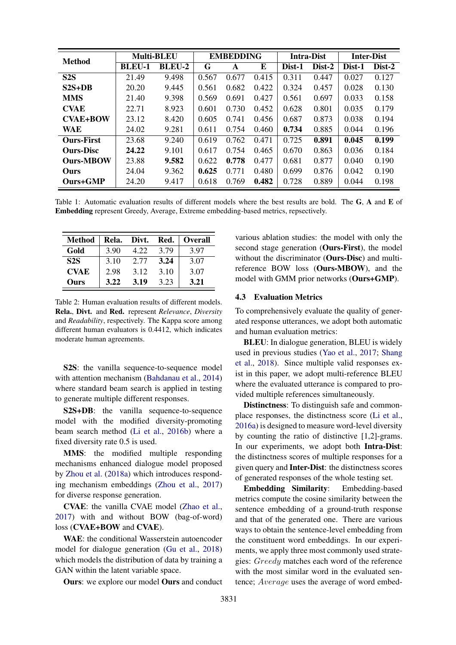<span id="page-5-0"></span>

| <b>Method</b>     | <b>Multi-BLEU</b> |               | <b>EMBEDDING</b> |       |       | <b>Intra-Dist</b> |        | <b>Inter-Dist</b> |        |
|-------------------|-------------------|---------------|------------------|-------|-------|-------------------|--------|-------------------|--------|
|                   | <b>BLEU-1</b>     | <b>BLEU-2</b> | G                | A     | E     | Dist-1            | Dist-2 | Dist-1            | Dist-2 |
| S2S               | 21.49             | 9.498         | 0.567            | 0.677 | 0.415 | 0.311             | 0.447  | 0.027             | 0.127  |
| $S2S+DR$          | 20.20             | 9.445         | 0.561            | 0.682 | 0.422 | 0.324             | 0.457  | 0.028             | 0.130  |
| <b>MMS</b>        | 21.40             | 9.398         | 0.569            | 0.691 | 0.427 | 0.561             | 0.697  | 0.033             | 0.158  |
| <b>CVAE</b>       | 22.71             | 8.923         | 0.601            | 0.730 | 0.452 | 0.628             | 0.801  | 0.035             | 0.179  |
| <b>CVAE+BOW</b>   | 23.12             | 8.420         | 0.605            | 0.741 | 0.456 | 0.687             | 0.873  | 0.038             | 0.194  |
| <b>WAE</b>        | 24.02             | 9.281         | 0.611            | 0.754 | 0.460 | 0.734             | 0.885  | 0.044             | 0.196  |
| <b>Ours-First</b> | 23.68             | 9.240         | 0.619            | 0.762 | 0.471 | 0.725             | 0.891  | 0.045             | 0.199  |
| <b>Ours-Disc</b>  | 24.22             | 9.101         | 0.617            | 0.754 | 0.465 | 0.670             | 0.863  | 0.036             | 0.184  |
| <b>Ours-MBOW</b>  | 23.88             | 9.582         | 0.622            | 0.778 | 0.477 | 0.681             | 0.877  | 0.040             | 0.190  |
| <b>Ours</b>       | 24.04             | 9.362         | 0.625            | 0.771 | 0.480 | 0.699             | 0.876  | 0.042             | 0.190  |
| <b>Ours+GMP</b>   | 24.20             | 9.417         | 0.618            | 0.769 | 0.482 | 0.728             | 0.889  | 0.044             | 0.198  |

Table 1: Automatic evaluation results of different models where the best results are bold. The G, A and E of Embedding represent Greedy, Average, Extreme embedding-based metrics, repsectively.

<span id="page-5-1"></span>

| <b>Method</b> | Rela. | Divt. | Red. | <b>Overall</b> |
|---------------|-------|-------|------|----------------|
| Gold          | 3.90  | 4.22  | 3.79 | 3.97           |
| S2S           | 3.10  | 2.77  | 3.24 | 3.07           |
| <b>CVAE</b>   | 2.98  | 3.12  | 3.10 | 3.07           |
| Ours          | 3.22  | 3.19  | 3.23 | 3.21           |

Table 2: Human evaluation results of different models. Rela., Divt. and Red. represent *Relevance*, *Diversity* and *Readability*, respectively. The Kappa score among different human evaluators is 0.4412, which indicates moderate human agreements.

S2S: the vanilla sequence-to-sequence model with attention mechanism [\(Bahdanau et al.,](#page-8-9) [2014\)](#page-8-9) where standard beam search is applied in testing to generate multiple different responses.

S2S+DB: the vanilla sequence-to-sequence model with the modified diversity-promoting beam search method [\(Li et al.,](#page-8-10) [2016b\)](#page-8-10) where a fixed diversity rate 0.5 is used.

MMS: the modified multiple responding mechanisms enhanced dialogue model proposed by [Zhou et al.](#page-9-7) [\(2018a\)](#page-9-7) which introduces responding mechanism embeddings [\(Zhou et al.,](#page-9-6) [2017\)](#page-9-6) for diverse response generation.

CVAE: the vanilla CVAE model [\(Zhao et al.,](#page-9-8) [2017\)](#page-9-8) with and without BOW (bag-of-word) loss (CVAE+BOW and CVAE).

WAE: the conditional Wasserstein autoencoder model for dialogue generation [\(Gu et al.,](#page-8-4) [2018\)](#page-8-4) which models the distribution of data by training a GAN within the latent variable space.

Ours: we explore our model Ours and conduct

various ablation studies: the model with only the second stage generation (Ours-First), the model without the discriminator (**Ours-Disc**) and multireference BOW loss (Ours-MBOW), and the model with GMM prior networks (Ours+GMP).

#### 4.3 Evaluation Metrics

To comprehensively evaluate the quality of generated response utterances, we adopt both automatic and human evaluation metrics:

BLEU: In dialogue generation, BLEU is widely used in previous studies [\(Yao et al.,](#page-9-19) [2017;](#page-9-19) [Shang](#page-9-20) [et al.,](#page-9-20) [2018\)](#page-9-20). Since multiple valid responses exist in this paper, we adopt multi-reference BLEU where the evaluated utterance is compared to provided multiple references simultaneously.

Distinctness: To distinguish safe and commonplace responses, the distinctness score [\(Li et al.,](#page-8-1) [2016a\)](#page-8-1) is designed to measure word-level diversity by counting the ratio of distinctive [1,2]-grams. In our experiments, we adopt both Intra-Dist: the distinctness scores of multiple responses for a given query and Inter-Dist: the distinctness scores of generated responses of the whole testing set.

Embedding Similarity: Embedding-based metrics compute the cosine similarity between the sentence embedding of a ground-truth response and that of the generated one. There are various ways to obtain the sentence-level embedding from the constituent word embeddings. In our experiments, we apply three most commonly used strategies: Greedy matches each word of the reference with the most similar word in the evaluated sentence; Average uses the average of word embed-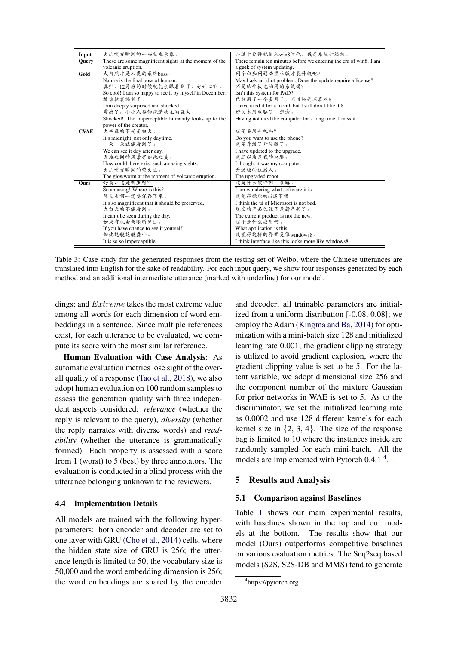<span id="page-6-1"></span>

| Input       | 火山喷发瞬间的一些壮观景象。                                          | 再过十分钟就进入win8时代, 我是系统升级控。                                          |
|-------------|---------------------------------------------------------|-------------------------------------------------------------------|
| Ouery       | These are some magnificent sights at the moment of the  | There remain ten minutes before we entering the era of win8. I am |
|             | volcanic eruption.                                      | a geek of system updating.                                        |
| Gold        | 大自然才是人类的最终boss。                                         | 问个白痴问题必须正版才能升级吧?                                                  |
|             | Nature is the final boss of human.                      | May I ask an idiot problem. Does the update require a license?    |
|             | 真帅,12月份的时候就能亲眼看到了,好开心啊。                                 | 不是给平板电脑用的系统吗?                                                     |
|             | So cool! I am so happy to see it by myself in December. | Isn't this system for PAD?                                        |
|             | 被惊艳震撼到了。                                                | 已经用了一个多月了, 不过还是不喜欢8                                               |
|             | I am deeply surprised and shocked.                      | I have used it for a month but I still don't like it 8            |
|             | 震撼了,小小人类仰视造物主的强大。                                       | 好久木用电脑了, 想念。                                                      |
|             | Shocked! The imperceptible humanity looks up to the     | Having not used the computer for a long time, I miss it.          |
|             | power of the creator.                                   |                                                                   |
| <b>CVAE</b> | 大半夜的不光是白天。                                              | 这是要用手机吗?                                                          |
|             | It's midnight, not only daytime.                        | Do you want to use the phone?                                     |
|             | 一天一天就能看到了。                                              | 我是升级了升级版了。                                                        |
|             | We can see it day after day.                            | I have updated to the upgrade.                                    |
|             | 天地之间的风景有如此之美。                                           | 我还以为是我的电脑。                                                        |
|             | How could there exist such amazing sights.              | I thought it was my computer.                                     |
|             | 火山喷发瞬间的萤火虫。                                             | 升级版的机器人。                                                          |
|             | The glowworm at the moment of volcanic eruption.        | The upgraded robot.                                               |
| Ours        | 好美,这是哪里呀?                                               | 这是什么软件啊, 求解。                                                      |
|             | So amazing! Where is this?                              | I am wondering what software it is.                               |
|             | 好壮观啊一定要保存下来。                                            | 我觉得微软的ui还不错。                                                      |
|             | It's so magnificent that it should be preserved.        | I think the ui of Microsoft is not bad.                           |
|             | 大白天的不能看到。                                               | 现在的产品已经不是新产品了。                                                    |
|             | It can't be seen during the day.                        | The current product is not the new.                               |
|             | 如果有机会亲眼所见过。                                             | 这个是什么应用啊。                                                         |
|             | If you have chance to see it yourself.                  | What application is this.                                         |
|             | 如此这般这般淼小。                                               | 我觉得这样的界面更像windows8。                                               |
|             | It is so so imperceptible.                              | I think interface like this looks more like windows8.             |

Table 3: Case study for the generated responses from the testing set of Weibo, where the Chinese utterances are translated into English for the sake of readability. For each input query, we show four responses generated by each method and an additional intermediate utterance (marked with underline) for our model.

dings; and Extreme takes the most extreme value among all words for each dimension of word embeddings in a sentence. Since multiple references exist, for each utterance to be evaluated, we compute its score with the most similar reference.

Human Evaluation with Case Analysis: As automatic evaluation metrics lose sight of the overall quality of a response [\(Tao et al.,](#page-9-21) [2018\)](#page-9-21), we also adopt human evaluation on 100 random samples to assess the generation quality with three independent aspects considered: *relevance* (whether the reply is relevant to the query), *diversity* (whether the reply narrates with diverse words) and *readability* (whether the utterance is grammatically formed). Each property is assessed with a score from 1 (worst) to 5 (best) by three annotators. The evaluation is conducted in a blind process with the utterance belonging unknown to the reviewers.

#### 4.4 Implementation Details

All models are trained with the following hyperparameters: both encoder and decoder are set to one layer with GRU [\(Cho et al.,](#page-8-0) [2014\)](#page-8-0) cells, where the hidden state size of GRU is 256; the utterance length is limited to 50; the vocabulary size is 50,000 and the word embedding dimension is 256; the word embeddings are shared by the encoder

and decoder; all trainable parameters are initialized from a uniform distribution [-0.08, 0.08]; we employ the Adam [\(Kingma and Ba,](#page-8-11) [2014\)](#page-8-11) for optimization with a mini-batch size 128 and initialized learning rate 0.001; the gradient clipping strategy is utilized to avoid gradient explosion, where the gradient clipping value is set to be 5. For the latent variable, we adopt dimensional size 256 and the component number of the mixture Gaussian for prior networks in WAE is set to 5. As to the discriminator, we set the initialized learning rate as 0.0002 and use 128 different kernels for each kernel size in  $\{2, 3, 4\}$ . The size of the response bag is limited to 10 where the instances inside are randomly sampled for each mini-batch. All the models are implemented with Pytorch 0.[4](#page-6-0).1<sup>4</sup>.

## 5 Results and Analysis

#### 5.1 Comparison against Baselines

Table [1](#page-5-0) shows our main experimental results, with baselines shown in the top and our models at the bottom. The results show that our model (Ours) outperforms competitive baselines on various evaluation metrics. The Seq2seq based models (S2S, S2S-DB and MMS) tend to generate

<span id="page-6-0"></span><sup>4</sup> https://pytorch.org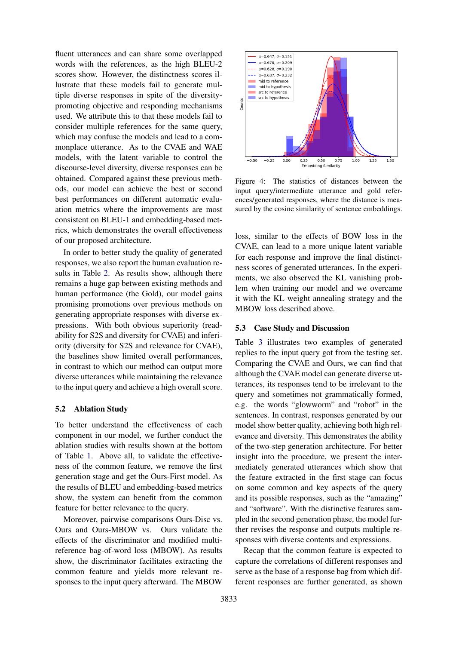fluent utterances and can share some overlapped words with the references, as the high BLEU-2 scores show. However, the distinctness scores illustrate that these models fail to generate multiple diverse responses in spite of the diversitypromoting objective and responding mechanisms used. We attribute this to that these models fail to consider multiple references for the same query, which may confuse the models and lead to a commonplace utterance. As to the CVAE and WAE models, with the latent variable to control the discourse-level diversity, diverse responses can be obtained. Compared against these previous methods, our model can achieve the best or second best performances on different automatic evaluation metrics where the improvements are most consistent on BLEU-1 and embedding-based metrics, which demonstrates the overall effectiveness of our proposed architecture.

In order to better study the quality of generated responses, we also report the human evaluation results in Table [2.](#page-5-1) As results show, although there remains a huge gap between existing methods and human performance (the Gold), our model gains promising promotions over previous methods on generating appropriate responses with diverse expressions. With both obvious superiority (readability for S2S and diversity for CVAE) and inferiority (diversity for S2S and relevance for CVAE), the baselines show limited overall performances, in contrast to which our method can output more diverse utterances while maintaining the relevance to the input query and achieve a high overall score.

#### 5.2 Ablation Study

To better understand the effectiveness of each component in our model, we further conduct the ablation studies with results shown at the bottom of Table [1.](#page-5-0) Above all, to validate the effectiveness of the common feature, we remove the first generation stage and get the Ours-First model. As the results of BLEU and embedding-based metrics show, the system can benefit from the common feature for better relevance to the query.

Moreover, pairwise comparisons Ours-Disc vs. Ours and Ours-MBOW vs. Ours validate the effects of the discriminator and modified multireference bag-of-word loss (MBOW). As results show, the discriminator facilitates extracting the common feature and yields more relevant responses to the input query afterward. The MBOW

<span id="page-7-0"></span>

Figure 4: The statistics of distances between the input query/intermediate utterance and gold references/generated responses, where the distance is measured by the cosine similarity of sentence embeddings.

loss, similar to the effects of BOW loss in the CVAE, can lead to a more unique latent variable for each response and improve the final distinctness scores of generated utterances. In the experiments, we also observed the KL vanishing problem when training our model and we overcame it with the KL weight annealing strategy and the MBOW loss described above.

#### 5.3 Case Study and Discussion

Table [3](#page-6-1) illustrates two examples of generated replies to the input query got from the testing set. Comparing the CVAE and Ours, we can find that although the CVAE model can generate diverse utterances, its responses tend to be irrelevant to the query and sometimes not grammatically formed, e.g. the words "glowworm" and "robot" in the sentences. In contrast, responses generated by our model show better quality, achieving both high relevance and diversity. This demonstrates the ability of the two-step generation architecture. For better insight into the procedure, we present the intermediately generated utterances which show that the feature extracted in the first stage can focus on some common and key aspects of the query and its possible responses, such as the "amazing" and "software". With the distinctive features sampled in the second generation phase, the model further revises the response and outputs multiple responses with diverse contents and expressions.

Recap that the common feature is expected to capture the correlations of different responses and serve as the base of a response bag from which different responses are further generated, as shown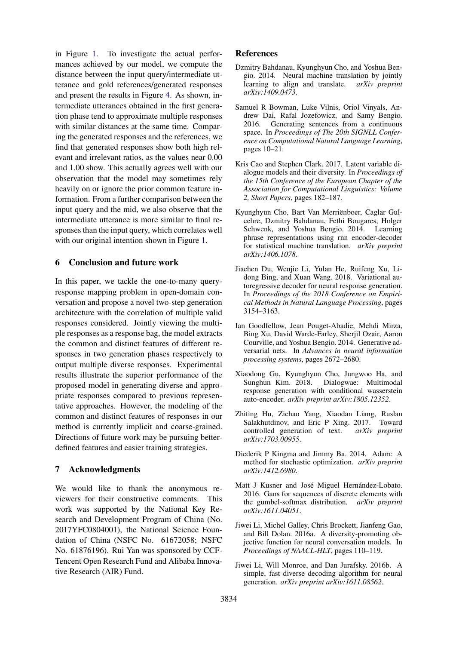in Figure [1.](#page-0-0) To investigate the actual performances achieved by our model, we compute the distance between the input query/intermediate utterance and gold references/generated responses and present the results in Figure [4.](#page-7-0) As shown, intermediate utterances obtained in the first generation phase tend to approximate multiple responses with similar distances at the same time. Comparing the generated responses and the references, we find that generated responses show both high relevant and irrelevant ratios, as the values near 0.00 and 1.00 show. This actually agrees well with our observation that the model may sometimes rely heavily on or ignore the prior common feature information. From a further comparison between the input query and the mid, we also observe that the intermediate utterance is more similar to final responses than the input query, which correlates well with our original intention shown in Figure [1.](#page-0-0)

### 6 Conclusion and future work

In this paper, we tackle the one-to-many queryresponse mapping problem in open-domain conversation and propose a novel two-step generation architecture with the correlation of multiple valid responses considered. Jointly viewing the multiple responses as a response bag, the model extracts the common and distinct features of different responses in two generation phases respectively to output multiple diverse responses. Experimental results illustrate the superior performance of the proposed model in generating diverse and appropriate responses compared to previous representative approaches. However, the modeling of the common and distinct features of responses in our method is currently implicit and coarse-grained. Directions of future work may be pursuing betterdefined features and easier training strategies.

### 7 Acknowledgments

We would like to thank the anonymous reviewers for their constructive comments. This work was supported by the National Key Research and Development Program of China (No. 2017YFC0804001), the National Science Foundation of China (NSFC No. 61672058; NSFC No. 61876196). Rui Yan was sponsored by CCF-Tencent Open Research Fund and Alibaba Innovative Research (AIR) Fund.

### References

- <span id="page-8-9"></span>Dzmitry Bahdanau, Kyunghyun Cho, and Yoshua Bengio. 2014. Neural machine translation by jointly learning to align and translate.  $arXiv$  preprint learning to align and translate. *arXiv:1409.0473*.
- <span id="page-8-2"></span>Samuel R Bowman, Luke Vilnis, Oriol Vinyals, Andrew Dai, Rafal Jozefowicz, and Samy Bengio. 2016. Generating sentences from a continuous space. In *Proceedings of The 20th SIGNLL Conference on Computational Natural Language Learning*, pages 10–21.
- <span id="page-8-3"></span>Kris Cao and Stephen Clark. 2017. Latent variable dialogue models and their diversity. In *Proceedings of the 15th Conference of the European Chapter of the Association for Computational Linguistics: Volume 2, Short Papers*, pages 182–187.
- <span id="page-8-0"></span>Kyunghyun Cho, Bart Van Merrienboer, Caglar Gul- ¨ cehre, Dzmitry Bahdanau, Fethi Bougares, Holger Schwenk, and Yoshua Bengio. 2014. Learning phrase representations using rnn encoder-decoder for statistical machine translation. *arXiv preprint arXiv:1406.1078*.
- <span id="page-8-5"></span>Jiachen Du, Wenjie Li, Yulan He, Ruifeng Xu, Lidong Bing, and Xuan Wang. 2018. Variational autoregressive decoder for neural response generation. In *Proceedings of the 2018 Conference on Empirical Methods in Natural Language Processing*, pages 3154–3163.
- <span id="page-8-7"></span>Ian Goodfellow, Jean Pouget-Abadie, Mehdi Mirza, Bing Xu, David Warde-Farley, Sherjil Ozair, Aaron Courville, and Yoshua Bengio. 2014. Generative adversarial nets. In *Advances in neural information processing systems*, pages 2672–2680.
- <span id="page-8-4"></span>Xiaodong Gu, Kyunghyun Cho, Jungwoo Ha, and Sunghun Kim. 2018. Dialogwae: Multimodal response generation with conditional wasserstein auto-encoder. *arXiv preprint arXiv:1805.12352*.
- <span id="page-8-6"></span>Zhiting Hu, Zichao Yang, Xiaodan Liang, Ruslan Salakhutdinov, and Eric P Xing. 2017. Toward controlled generation of text. *arXiv preprint arXiv:1703.00955*.
- <span id="page-8-11"></span>Diederik P Kingma and Jimmy Ba. 2014. Adam: A method for stochastic optimization. *arXiv preprint arXiv:1412.6980*.
- <span id="page-8-8"></span>Matt J Kusner and José Miguel Hernández-Lobato. 2016. Gans for sequences of discrete elements with the gumbel-softmax distribution. *arXiv preprint arXiv:1611.04051*.
- <span id="page-8-1"></span>Jiwei Li, Michel Galley, Chris Brockett, Jianfeng Gao, and Bill Dolan. 2016a. A diversity-promoting objective function for neural conversation models. In *Proceedings of NAACL-HLT*, pages 110–119.
- <span id="page-8-10"></span>Jiwei Li, Will Monroe, and Dan Jurafsky. 2016b. A simple, fast diverse decoding algorithm for neural generation. *arXiv preprint arXiv:1611.08562*.